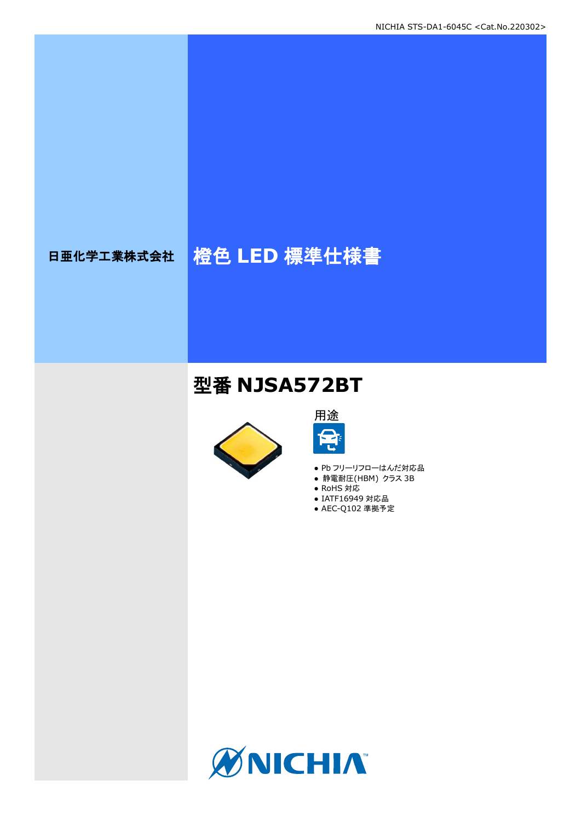# 日亜化学工業株式会社 格色 LED 標準仕様書

## 型番 **NJSA572BT**





- Pb フリーリフローはんだ対応品
- **静電耐圧(HBM) クラス 3B**
- RoHS 対応
- IATF16949 対応品
- AEC-Q102 準拠予定

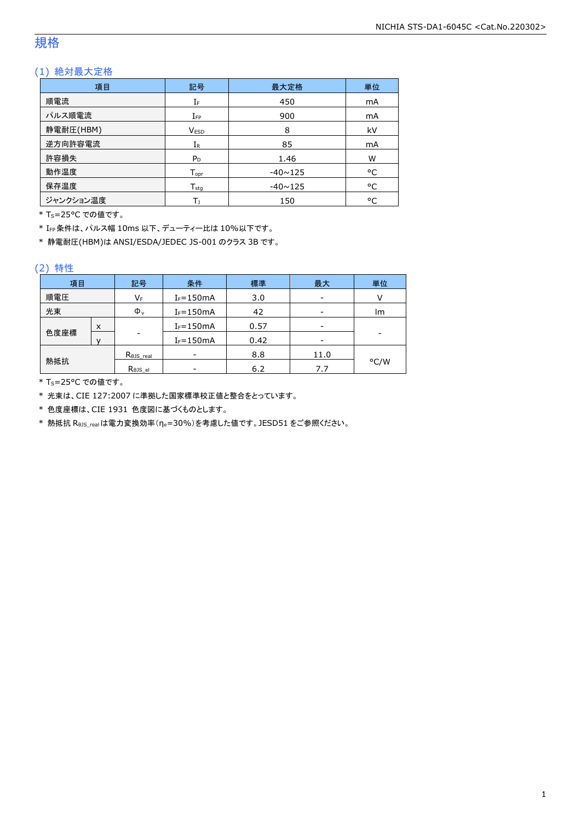### 規格

### (1) 絶対最大定格

| 項目        | 記号                         | 最大定格           | 単位             |
|-----------|----------------------------|----------------|----------------|
| 順電流       | IF                         | 450            | mA             |
| パルス順電流    | $I_{FP}$                   | 900            | mA             |
| 静電耐圧(HBM) | <b>VESD</b>                | 8              | kV             |
| 逆方向許容電流   | $I_{R}$                    | 85             | m <sub>A</sub> |
| 許容損失      | $P_D$                      | 1.46           | W              |
| 動作温度      | $T_{\text{opt}}$           | $-40 \sim 125$ | °C             |
| 保存温度      | ${\mathsf T}_{\text{sta}}$ | $-40 \sim 125$ | °C             |
| ジャンクション温度 | Т١                         | 150            | °C             |

\* Ts=25°C での値です。

\* IFP条件は、パルス幅 10ms 以下、デューティー比は 10%以下です。

\* 静電耐圧(HBM)は ANSI/ESDA/JEDEC JS-001 のクラス 3B です。

### (2) 特性

| 項目   |   | 記号                   | 条件            | 標準   | 最大   | 単位   |
|------|---|----------------------|---------------|------|------|------|
| 順電圧  |   | VF                   | $I_F = 150mA$ | 3.0  | -    |      |
| 光束   |   | $\Phi_{v}$           | $I_F = 150mA$ | 42   | -    | Im   |
|      | x |                      | $I_F = 150mA$ | 0.57 |      |      |
| 色度座標 |   | -                    | $I_F = 150mA$ | 0.42 |      |      |
|      |   | $R_{\theta}$ JS_real | -             | 8.8  | 11.0 |      |
| 熱抵抗  |   | Rejs el              |               | 6.2  | 7.7  | °C/W |

\* Ts=25°C での値です。

\* 光束は、CIE 127:2007 に準拠した国家標準校正値と整合をとっています。

\* 色度座標は、CIE 1931 色度図に基づくものとします。

\* 熱抵抗 RθJS\_realは電力変換効率(ηe=30%)を考慮した値です。JESD51 をご参照ください。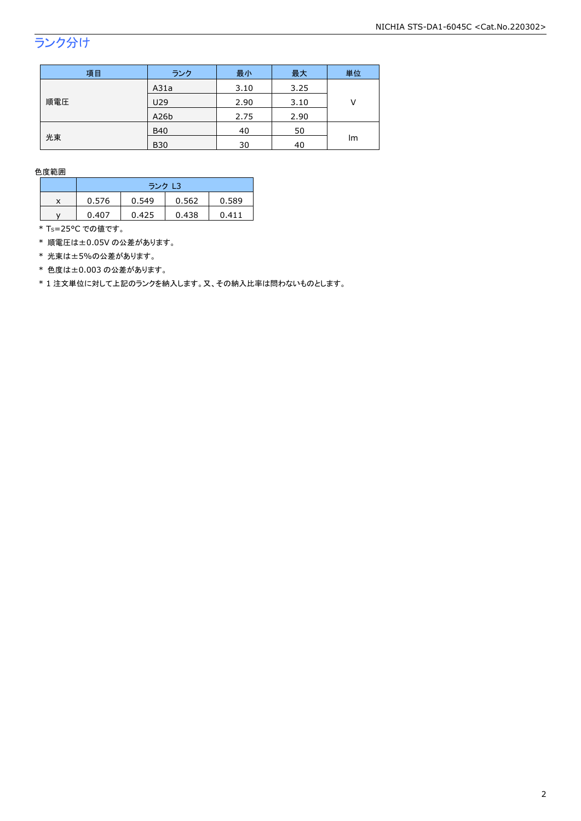## ランク分け

| 項目  | ランク        | 最小   | 最大   | 単位 |  |
|-----|------------|------|------|----|--|
|     | A31a       | 3.10 | 3.25 |    |  |
| 順電圧 | U29        | 2.90 | 3.10 | V  |  |
|     | A26b       | 2.75 | 2.90 |    |  |
|     | <b>B40</b> | 40   | 50   |    |  |
| 光束  | <b>B30</b> | 30   | 40   | lm |  |

色度範囲

|   | ランク L3 |       |       |       |
|---|--------|-------|-------|-------|
| X | 0.576  | 0.549 | 0.562 | 0.589 |
|   | 0.407  | 0.425 | 0.438 | 0.411 |

\* Ts=25°C での値です。

\* 順電圧は±0.05V の公差があります。

\* 光束は±5%の公差があります。

\* 色度は±0.003 の公差があります。

\* 1 注文単位に対して上記のランクを納入します。又、その納入比率は問わないものとします。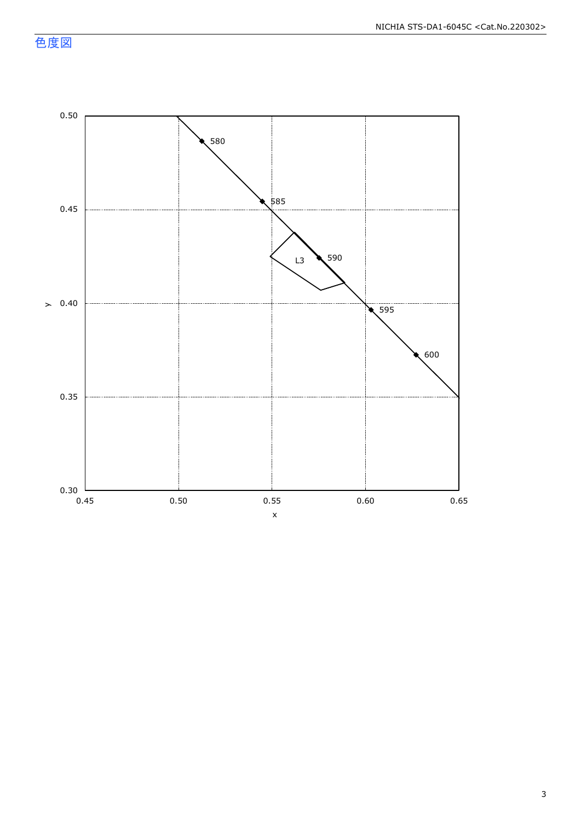色度図



3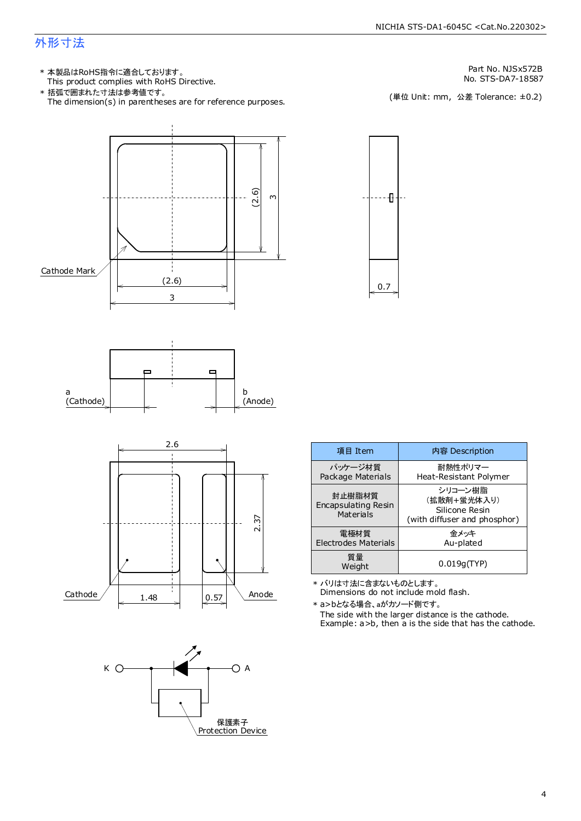### 外形寸法

This product complies with RoHS Directive. 本製品はRoHS指令に適合しております。 \*

The dimension(s) in parentheses are for reference purposes. 括弧で囲まれた寸法は参考値です。 \*

Part No. NJSx572B

No. STS-DA7-18587<br>(単位 Unit: mm,公差 Tolerance: ±0.2)











| 項目 Item                                           | 内容 Description                                                           |  |
|---------------------------------------------------|--------------------------------------------------------------------------|--|
| パッケージ材質<br>Package Materials                      | 耐熱性ポリマー<br>Heat-Resistant Polymer                                        |  |
| 封止樹脂材質<br><b>Encapsulating Resin</b><br>Materials | シリコーン樹脂<br>(拡散剤+蛍光体入り)<br>Silicone Resin<br>(with diffuser and phosphor) |  |
| 電極材質<br>Electrodes Materials                      | 余メッキ<br>Au-plated                                                        |  |
| 質量<br>Weight                                      | 0.019q(TYP)                                                              |  |

Dimensions do not include mold flash. \* バリは寸法に含まないものとします。

The side with the larger distance is the cathode. Example: a>b, then a is the side that has the cathode. \* a>bとなる場合、aがカソード側です。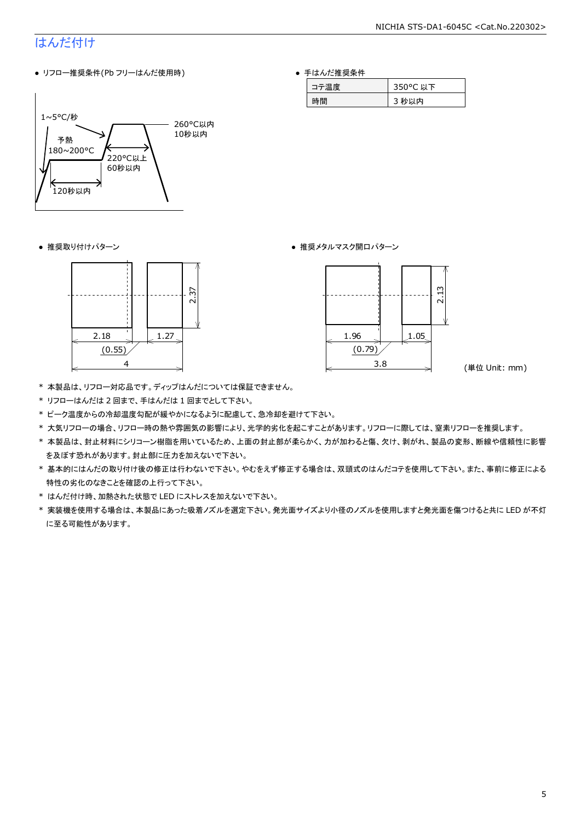#### NICHIA STS-DA1-6045C <Cat.No.220302>

### はんだ付け

● リフロー推奨条件(Pb フリーはんだ使用時)



● 手はんだ推奨条件

|   | 厚 | 50%<br>以下 |  |
|---|---|-----------|--|
| 間 |   | 秒以内       |  |

● 推奨取り付けパターン ろんじょう しょうしゃ ゆうしゃ ウィック・サービス きゅうしょく 推奨メタルマスク開口パターン





(単位 Unit: mm)

- \* 本製品は、リフロー対応品です。ディップはんだについては保証できません。
- \* リフローはんだは 2 回まで、手はんだは 1 回までとして下さい。
- \* ピーク温度からの冷却温度勾配が緩やかになるように配慮して、急冷却を避けて下さい。
- \* 大気リフローの場合、リフロー時の熱や雰囲気の影響により、光学的劣化を起こすことがあります。リフローに際しては、窒素リフローを推奨します。
- \* 本製品は、封止材料にシリコーン樹脂を用いているため、上面の封止部が柔らかく、力が加わると傷、欠け、剥がれ、製品の変形、断線や信頼性に影響 を及ぼす恐れがあります。封止部に圧力を加えないで下さい。
- \* 基本的にはんだの取り付け後の修正は行わないで下さい。やむをえず修正する場合は、双頭式のはんだコテを使用して下さい。また、事前に修正による 特性の劣化のなきことを確認の上行って下さい。
- \* はんだ付け時、加熱された状態で LED にストレスを加えないで下さい。
- \* 実装機を使用する場合は、本製品にあった吸着ノズルを選定下さい。発光面サイズより小径のノズルを使用しますと発光面を傷つけると共に LED が不灯 に至る可能性があります。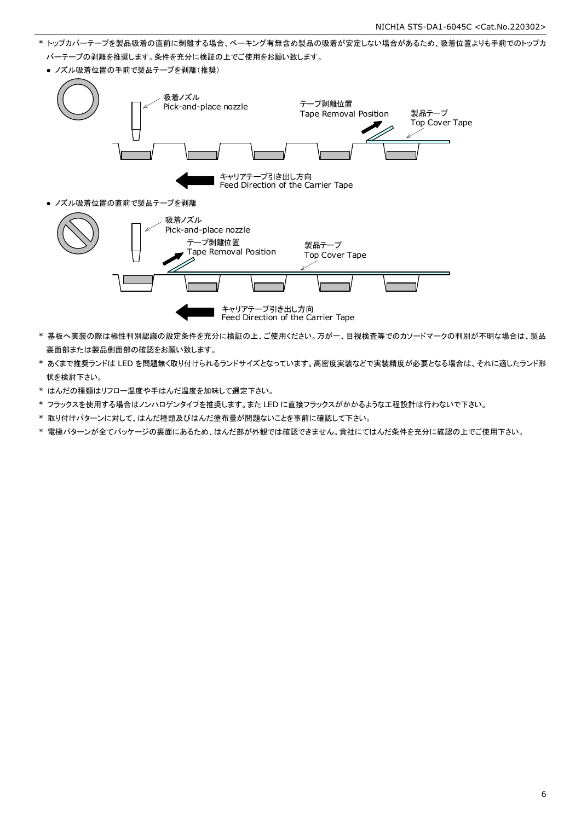- \* トップカバーテープを製品吸着の直前に剥離する場合、ベーキング有無含め製品の吸着が安定しない場合があるため、吸着位置よりも手前でのトップカ バーテープの剥離を推奨します。条件を充分に検証の上でご使用をお願い致します。
	- ノズル吸着位置の手前で製品テープを剥離(推奨)



- \* 基板へ実装の際は極性判別認識の設定条件を充分に検証の上、ご使用ください。万が一、目視検査等でのカソードマークの判別が不明な場合は、製品 裏面部または製品側面部の確認をお願い致します。
- \* あくまで推奨ランドは LED を問題無く取り付けられるランドサイズとなっています。高密度実装などで実装精度が必要となる場合は、それに適したランド形 状を検討下さい。
- \* はんだの種類はリフロー温度や手はんだ温度を加味して選定下さい。
- \* フラックスを使用する場合はノンハロゲンタイプを推奨します。また LED に直接フラックスがかかるような工程設計は行わないで下さい。
- \* 取り付けパターンに対して、はんだ種類及びはんだ塗布量が問題ないことを事前に確認して下さい。
- \* 電極パターンが全てパッケージの裏面にあるため、はんだ部が外観では確認できません。貴社にてはんだ条件を充分に確認の上でご使用下さい。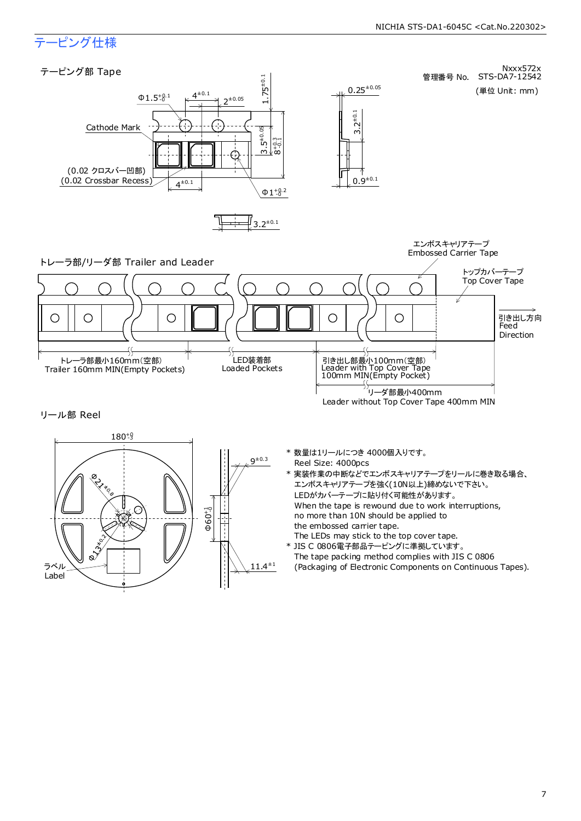### テーピング仕様

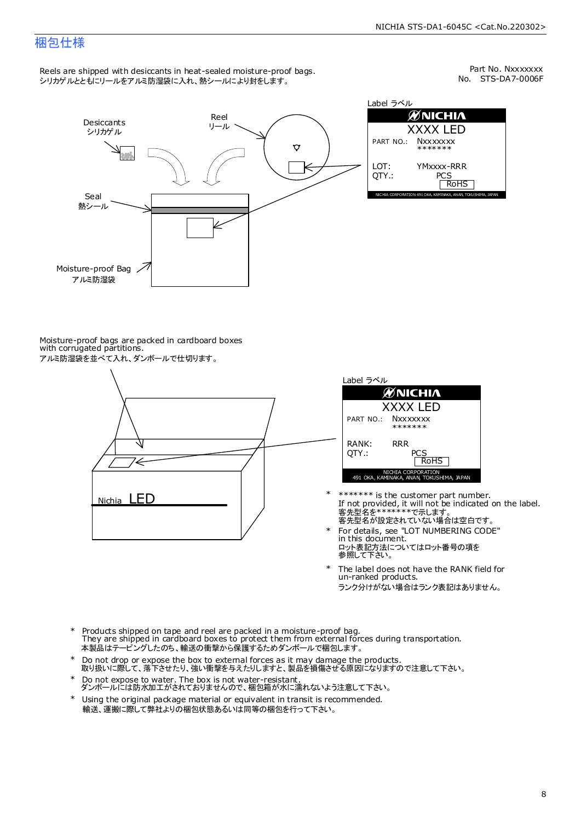### 梱包仕様

Reels are shipped with desiccants in heat-sealed moisture-proof bags. シリカゲルとともにリールをアルミ防湿袋に入れ、熱シールにより封をします。

No. STS-DA7-0006F Part No. Nxxxxxxx



Label ラベル  $\mathscr{D}$ NICHIA XXXX LED PART NO.: **Nxxxxxxx** \*\*\*\*\*\*\* LOT: YMxxxx-RRR QTY.: PCS<br>RoHS INAKA, ANAN, TOKUSHIMA, JA

Moisture-proof bags are packed in cardboard boxes with corrugated partitions. アルミ防湿袋を並べて入れ、ダンボールで仕切ります。





- 客先型名が設定されていない場合は空白です。 客先型名を\*\*\*\*\*\*\*で示します。 If not provided, it will not be indicated on the label. \*\*\*\*\*\*\* is the customer part number.
- For details, see "LOT NUMBERING CODE" in this document. ロット表記方法についてはロット番号の項を<br>参照して下さい。 \*
- The label does not have the RANK field for un-ranked products. ランク分けがない場合はランク表記はありません。 \*
- Products shipped on tape and reel are packed in a moisture-proof bag. They are shipped in cardboard boxes to protect them from external forces during transportation. 本製品はテーピングしたのち、輸送の衝撃から保護するためダンボールで梱包します。 \*
- Do not drop or expose the box to external forces as it may damage the products. 取り扱いに際して、落下させたり、強い衝撃を与えたりしますと、製品を損傷させる原因になりますので注意して下さい。 \*
- Do not expose to water. The box is not water-resistant. ダンボールには防水加工がされておりませんので、梱包箱が水に濡れないよう注意して下さい。 \*
- \* Using the original package material or equivalent in transit is recommended. 輸送、運搬に際して弊社よりの梱包状態あるいは同等の梱包を行って下さい。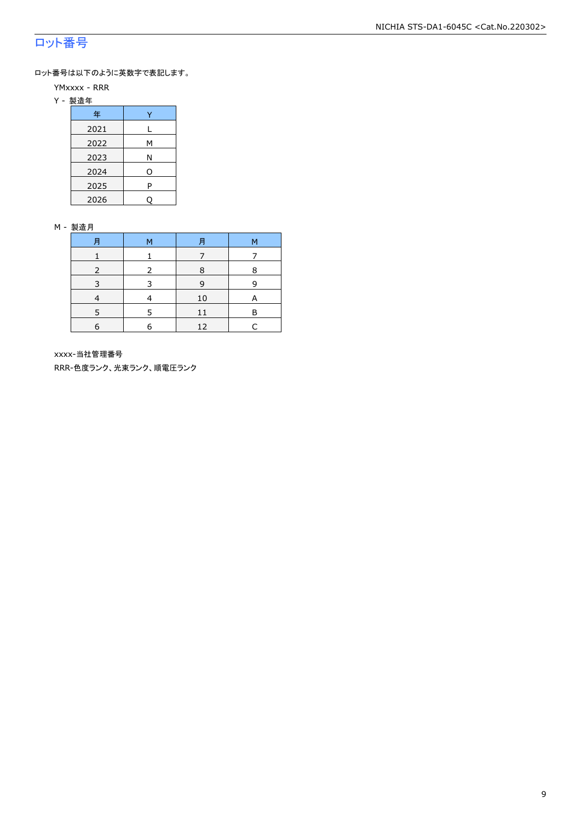### ロット番号

ロット番号は以下のように英数字で表記します。

- YMxxxx RRR
- Y 製造年

| 年    |   |
|------|---|
| 2021 |   |
| 2022 | М |
| 2023 | Ν |
| 2024 | O |
| 2025 | P |
| 2026 |   |

#### M - 製造月

| 月 | м             | 月  | M |
|---|---------------|----|---|
|   |               |    |   |
|   | $\mathcal{P}$ | 8  | 8 |
|   |               | 9  | 9 |
|   |               | 10 | A |
|   |               |    | F |
| 6 | 6             | 12 |   |

xxxx-当社管理番号

RRR-色度ランク、光束ランク、順電圧ランク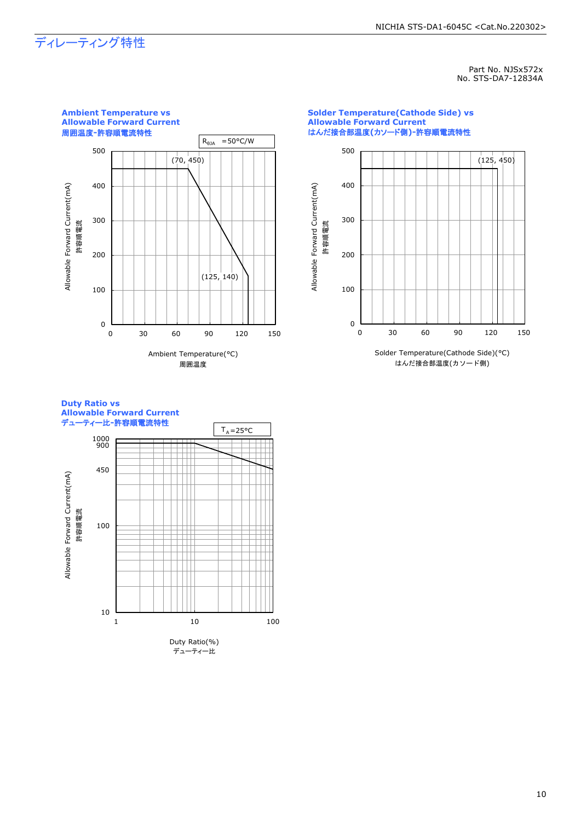### ディレーティング特性

Part No. NJSx572x No. STS-DA7-12834A



#### **Solder Temperature(Cathode Side) vs Allowable Forward Current** はんだ接合部温度**(**カソード側**)-**許容順電流特性



Solder Temperature(Cathode Side)(°C) はんだ接合部温度(カソード側)

#### **Duty Ratio vs Allowable Forward Current** デューティー比**-**許容順電流特性

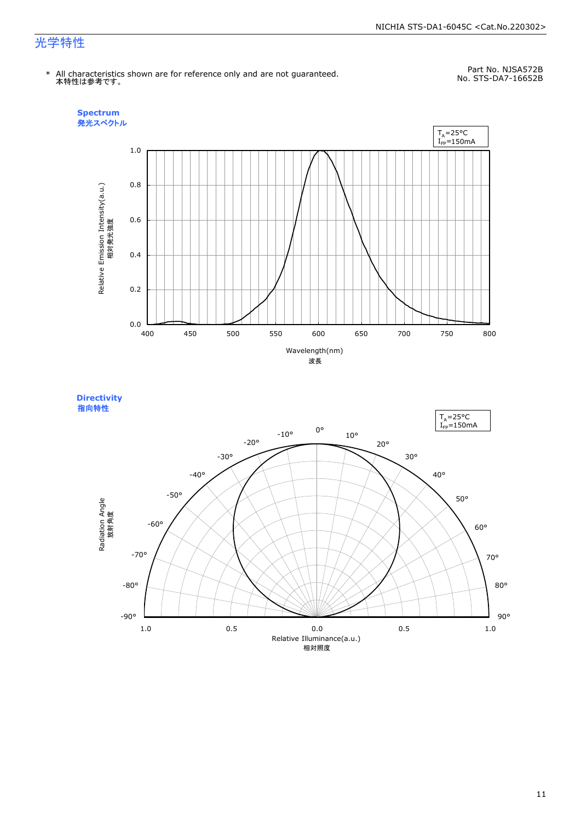#### NICHIA STS-DA1-6045C <Cat.No.220302>

### 光学特性

\* All characteristics shown are for reference only and are not guaranteed. 本特性は参考です。

Part No. NJSA572B No. STS-DA7-16652B



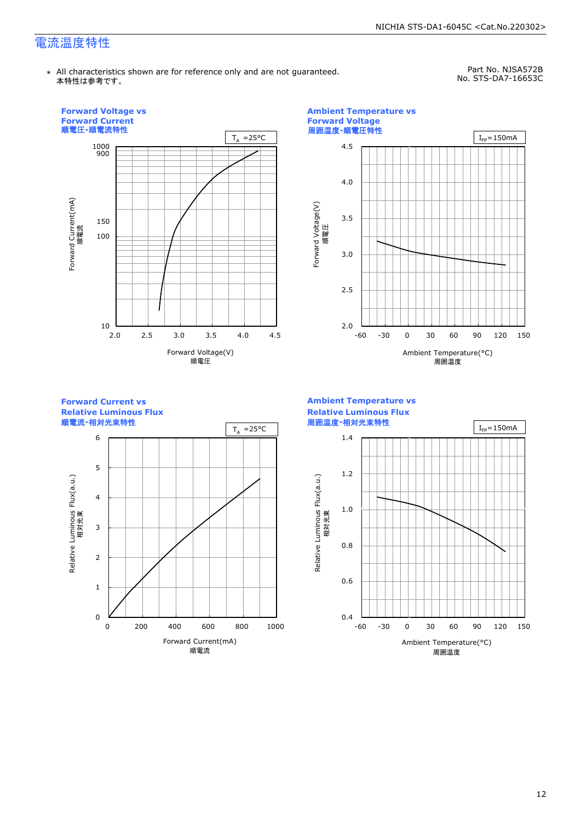### 電流温度特性

\* All characteristics shown are for reference only and are not guaranteed. 本特性は参考です。

Part No. NJSA572B No. STS-DA7-16653C

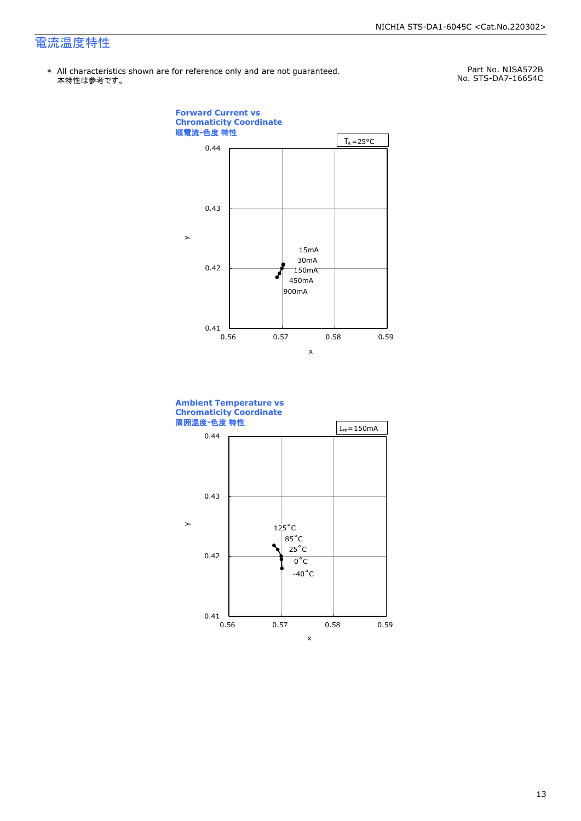### 電流温度特性

\* All characteristics shown are for reference only and are not guaranteed.本特性は参考です。

Part No. NJSA572B No. STS-DA7-16654C



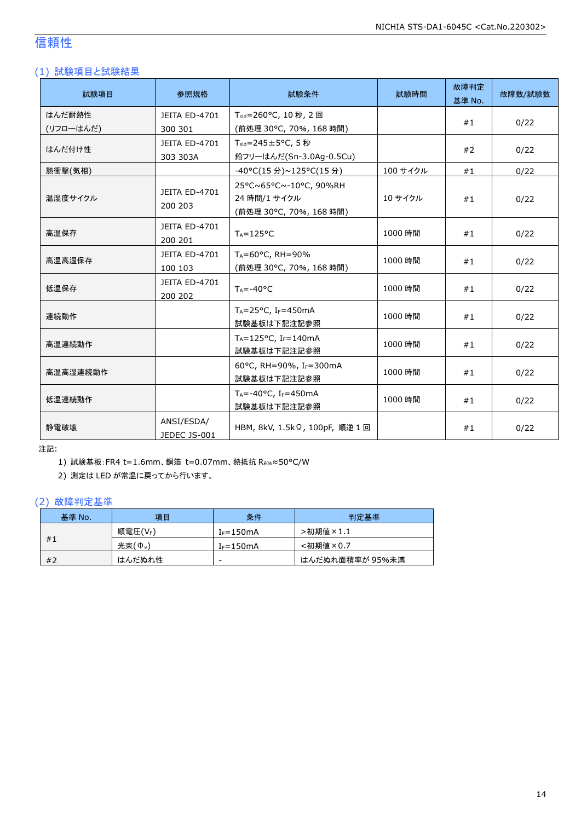### 信頼性

### (1) 試験項目と試験結果

| 試験項目                | 参照規格                            | 試験条件                                                             | 試験時間     | 故障判定<br>基準 No. | 故障数/試験数 |
|---------------------|---------------------------------|------------------------------------------------------------------|----------|----------------|---------|
| はんだ耐熱性<br>(リフローはんだ) | JEITA ED-4701<br>300 301        | T <sub>sld</sub> =260°C, 10秒, 2回<br>(前処理 30°C, 70%, 168 時間)      |          | #1             | 0/22    |
| はんだ付け性              | JEITA ED-4701<br>303 303A       | T <sub>sld</sub> =245±5°C, 5秒<br>鉛フリーはんだ(Sn-3.0Ag-0.5Cu)         |          | #2             | 0/22    |
| 熱衝撃(気相)             |                                 | -40°C(15 分)~125°C(15 分)                                          | 100 サイクル | #1             | 0/22    |
| 温湿度サイクル             | JEITA ED-4701<br>200 203        | 25°C~65°C~-10°C, 90%RH<br>24 時間/1 サイクル<br>(前処理 30℃, 70%, 168 時間) | 10 サイクル  | #1             | 0/22    |
| 高温保存                | JEITA ED-4701<br>200 201        | $T_A = 125$ °C                                                   | 1000 時間  |                | 0/22    |
| 高温高湿保存              | <b>JEITA ED-4701</b><br>100 103 | TA=60°C, RH=90%<br>(前処理 30°C, 70%, 168 時間)                       | 1000 時間  | #1             | 0/22    |
| 低温保存                | JEITA ED-4701<br>200 202        | $T_A = -40^{\circ}C$                                             | 1000 時間  | #1             | 0/22    |
| 連続動作                |                                 | $T_A = 25$ °C, I <sub>F</sub> =450mA<br>試験基板は下記注記参照              | 1000 時間  | #1             | 0/22    |
| 高温連続動作              |                                 | $T_A = 125$ °C, I <sub>F</sub> =140mA<br>試験基板は下記注記参照             | 1000 時間  | #1             | 0/22    |
| 高温高湿連続動作            |                                 | 60°C, RH=90%, IF=300mA<br>試験基板は下記注記参照                            | 1000 時間  | #1             | 0/22    |
| 低温連続動作              |                                 | $T_A = -40$ °C, I <sub>F</sub> =450mA<br>試験基板は下記注記参照             | 1000 時間  | #1             | 0/22    |
| 静雷破壊                | ANSI/ESDA/<br>JEDEC JS-001      | HBM, 8kV, 1.5kΩ, 100pF, 順逆 1 回                                   |          | #1             | 0/22    |

注記:

1) 試験基板:FR4 t=1.6mm、銅箔 t=0.07mm、熱抵抗 RθJA≈50°C/W

2) 測定は LED が常温に戻ってから行います。

### (2) 故障判定基準

| 基準 No. | 項目                  | 条件             | 判定基準            |
|--------|---------------------|----------------|-----------------|
| #1     | 順電圧(VF)             | $I_F = 150$ mA | >初期値×1.1        |
|        | 光束(Φ <sub>ν</sub> ) | $I_F = 150mA$  | <初期値×0.7        |
| #2     | はんだぬれ性              | -              | はんだぬれ面積率が 95%未満 |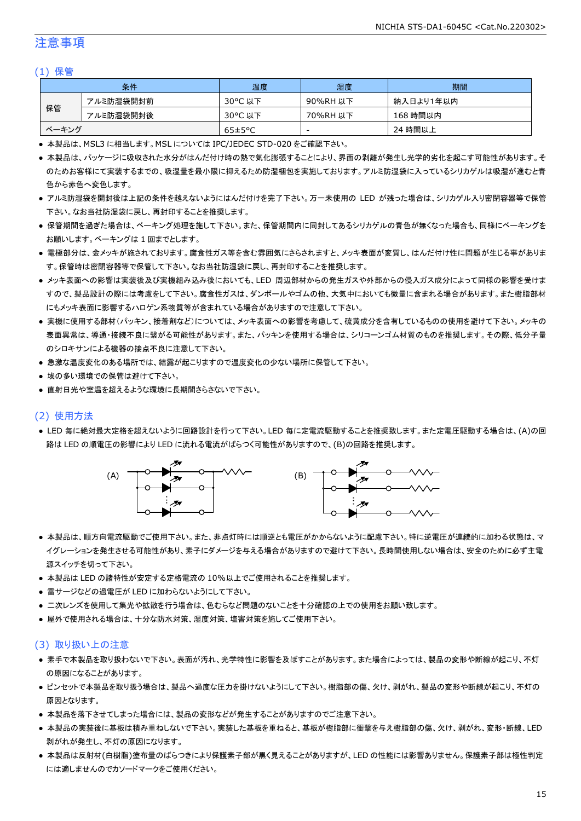### 注意事項

#### (1) 保管

|       | 条件        | 温度                   | 湿度       | 期間        |
|-------|-----------|----------------------|----------|-----------|
|       | アルミ防湿袋開封前 | 30°C 以下              | 90%RH 以下 | 納入日より1年以内 |
| 保管    | アルミ防湿袋開封後 | 30°C 以下              | 70%RH 以下 | 168 時間以内  |
| ベーキング |           | $65 \pm 5^{\circ}$ C | -        | 24 時間以上   |

● 本製品は、MSL3 に相当します。MSL については IPC/JEDEC STD-020 をご確認下さい。

- 本製品は、パッケージに吸収された水分がはんだ付け時の熱で気化膨張することにより、界面の剥離が発生し光学的劣化を起こす可能性があります。そ のためお客様にて実装するまでの、吸湿量を最小限に抑えるため防湿梱包を実施しております。アルミ防湿袋に入っているシリカゲルは吸湿が進むと青 色から赤色へ変色します。
- アルミ防湿袋を開封後は上記の条件を越えないようにはんだ付けを完了下さい。万一未使用の LED が残った場合は、シリカゲル入り密閉容器等で保管 下さい。なお当社防湿袋に戻し、再封印することを推奨します。
- 保管期間を過ぎた場合は、ベーキング処理を施して下さい。また、保管期間内に同封してあるシリカゲルの青色が無くなった場合も、同様にベーキングを お願いします。ベーキングは 1 回までとします。
- 電極部分は、金メッキが施されております。腐食性ガス等を含む雰囲気にさらされますと、メッキ表面が変質し、はんだ付け性に問題が生じる事がありま す。保管時は密閉容器等で保管して下さい。なお当社防湿袋に戻し、再封印することを推奨します。
- メッキ表面への影響は実装後及び実機組み込み後においても、LED 周辺部材からの発生ガスや外部からの侵入ガス成分によって同様の影響を受けま すので、製品設計の際には考慮をして下さい。腐食性ガスは、ダンボールやゴムの他、大気中においても微量に含まれる場合があります。また樹脂部材 にもメッキ表面に影響するハロゲン系物質等が含まれている場合がありますので注意して下さい。
- 実機に使用する部材(パッキン、接着剤など)については、メッキ表面への影響を考慮して、硫黄成分を含有しているものの使用を避けて下さい。メッキの 表面異常は、導通・接続不良に繋がる可能性があります。また、パッキンを使用する場合は、シリコーンゴム材質のものを推奨します。その際、低分子量 のシロキサンによる機器の接点不良に注意して下さい。
- 急激な温度変化のある場所では、結露が起こりますので温度変化の少ない場所に保管して下さい。
- 埃の多い環境での保管は避けて下さい。
- 直射日光や室温を超えるような環境に長期間さらさないで下さい。

#### (2) 使用方法

● LED 毎に絶対最大定格を超えないように回路設計を行って下さい。LED 毎に定電流駆動することを推奨致します。また定電圧駆動する場合は、(A)の回 路は LED の順電圧の影響により LED に流れる電流がばらつく可能性がありますので、(B)の回路を推奨します。



- 本製品は、順方向電流駆動でご使用下さい。また、非点灯時には順逆とも電圧がかからないように配慮下さい。特に逆電圧が連続的に加わる状態は、マ イグレーションを発生させる可能性があり、素子にダメージを与える場合がありますので避けて下さい。長時間使用しない場合は、安全のために必ず主電 源スイッチを切って下さい。
- 本製品は LED の諸特性が安定する定格電流の 10%以上でご使用されることを推奨します。
- 雷サージなどの過電圧が LED に加わらないようにして下さい。
- 二次レンズを使用して集光や拡散を行う場合は、色むらなど問題のないことを十分確認の上での使用をお願い致します。
- 屋外で使用される場合は、十分な防水対策、湿度対策、塩害対策を施してご使用下さい。

#### (3) 取り扱い上の注意

- 素手で本製品を取り扱わないで下さい。表面が汚れ、光学特性に影響を及ぼすことがあります。また場合によっては、製品の変形や断線が起こり、不灯 の原因になることがあります。
- ピンセットで本製品を取り扱う場合は、製品へ過度な圧力を掛けないようにして下さい。樹脂部の傷、欠け、剥がれ、製品の変形や断線が起こり、不灯の 原因となります。
- 本製品を落下させてしまった場合には、製品の変形などが発生することがありますのでご注意下さい。
- 本製品の実装後に基板は積み重ねしないで下さい。実装した基板を重ねると、基板が樹脂部に衝撃を与え樹脂部の傷、欠け、剥がれ、変形・断線、LED 剥がれが発生し、不灯の原因になります。
- 本製品は反射材(白樹脂)塗布量のばらつきにより保護素子部が黒く見えることがありますが、LED の性能には影響ありません。保護素子部は極性判定 には適しませんのでカソードマークをご使用ください。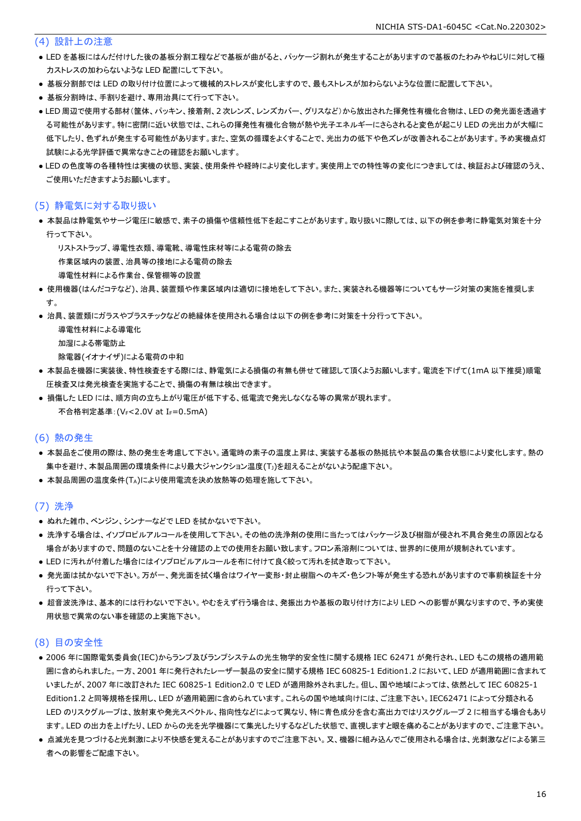#### (4) 設計上の注意

- LED を基板にはんだ付けした後の基板分割工程などで基板が曲がると、パッケージ割れが発生することがありますので基板のたわみやねじりに対して極 力ストレスの加わらないような LED 配置にして下さい。
- 基板分割部では LED の取り付け位置によって機械的ストレスが変化しますので、最もストレスが加わらないような位置に配置して下さい。
- 基板分割時は、手割りを避け、専用治具にて行って下さい。
- LED 周辺で使用する部材(筐体、パッキン、接着剤、2 次レンズ、レンズカバー、グリスなど)から放出された揮発性有機化合物は、LED の発光面を透過す る可能性があります。特に密閉に近い状態では、これらの揮発性有機化合物が熱や光子エネルギーにさらされると変色が起こり LED の光出力が大幅に 低下したり、色ずれが発生する可能性があります。また、空気の循環をよくすることで、光出力の低下や色ズレが改善されることがあります。予め実機点灯 試験による光学評価で異常なきことの確認をお願いします。
- LED の色度等の各種特性は実機の状態、実装、使用条件や経時により変化します。実使用上での特性等の変化につきましては、検証および確認のうえ、 ご使用いただきますようお願いします。

#### (5) 静電気に対する取り扱い

● 本製品は静電気やサージ電圧に敏感で、素子の損傷や信頼性低下を起こすことがあります。取り扱いに際しては、以下の例を参考に静電気対策を十分 行って下さい。

リストストラップ、導電性衣類、導電靴、導電性床材等による電荷の除去

作業区域内の装置、治具等の接地による電荷の除去

- 導電性材料による作業台、保管棚等の設置
- 使用機器(はんだコテなど)、治具、装置類や作業区域内は適切に接地をして下さい。また、実装される機器等についてもサージ対策の実施を推奨しま す。
- 治具、装置類にガラスやプラスチックなどの絶縁体を使用される場合は以下の例を参考に対策を十分行って下さい。

導電性材料による導電化

加湿による帯電防止

除電器(イオナイザ)による電荷の中和

- 本製品を機器に実装後、特性検査をする際には、静電気による損傷の有無も併せて確認して頂くようお願いします。電流を下げて(1mA 以下推奨)順電 圧検査又は発光検査を実施することで、損傷の有無は検出できます。
- 損傷した LED には、順方向の立ち上がり電圧が低下する、低電流で発光しなくなる等の異常が現れます。 不合格判定基準: (VF<2.0V at IF=0.5mA)

### (6) 熱の発生

- 本製品をご使用の際は、熱の発生を考慮して下さい。通電時の素子の温度上昇は、実装する基板の熱抵抗や本製品の集合状態により変化します。熱の 集中を避け、本製品周囲の環境条件により最大ジャンクション温度(TJ)を超えることがないよう配慮下さい。
- 本製品周囲の温度条件(TA)により使用電流を決め放熱等の処理を施して下さい。

### (7) 洗浄

- ぬれた雑巾、ベンジン、シンナーなどで LED を拭かないで下さい。
- 洗浄する場合は、イソプロピルアルコールを使用して下さい。その他の洗浄剤の使用に当たってはパッケージ及び樹脂が侵され不具合発生の原因となる 場合がありますので、問題のないことを十分確認の上での使用をお願い致します。フロン系溶剤については、世界的に使用が規制されています。
- LED に汚れが付着した場合にはイソプロピルアルコールを布に付けて良く絞って汚れを拭き取って下さい。
- 発光面は拭かないで下さい。万が一、発光面を拭く場合はワイヤー変形・封止樹脂へのキズ・色シフト等が発生する恐れがありますので事前検証を十分 行って下さい。
- 超音波洗浄は、基本的には行わないで下さい。やむをえず行う場合は、発振出力や基板の取り付け方により LED への影響が異なりますので、予め実使 用状態で異常のない事を確認の上実施下さい。

### (8) 目の安全性

- 2006 年に国際電気委員会(IEC)からランプ及びランプシステムの光生物学的安全性に関する規格 IEC 62471 が発行され、LED もこの規格の適用範 囲に含められました。一方、2001 年に発行されたレーザー製品の安全に関する規格 IEC 60825-1 Edition1.2 において、LED が適用範囲に含まれて いましたが、2007 年に改訂された IEC 60825-1 Edition2.0 で LED が適用除外されました。但し、国や地域によっては、依然として IEC 60825-1 Edition1.2 と同等規格を採用し、LED が適用範囲に含められています。これらの国や地域向けには、ご注意下さい。IEC62471 によって分類される LED のリスクグループは、放射束や発光スペクトル、指向性などによって異なり、特に青色成分を含む高出力ではリスクグループ 2 に相当する場合もあり ます。LED の出力を上げたり、LED からの光を光学機器にて集光したりするなどした状態で、直視しますと眼を痛めることがありますので、ご注意下さい。
- 点滅光を見つづけると光刺激により不快感を覚えることがありますのでご注意下さい。又、機器に組み込んでご使用される場合は、光刺激などによる第三 者への影響をご配慮下さい。